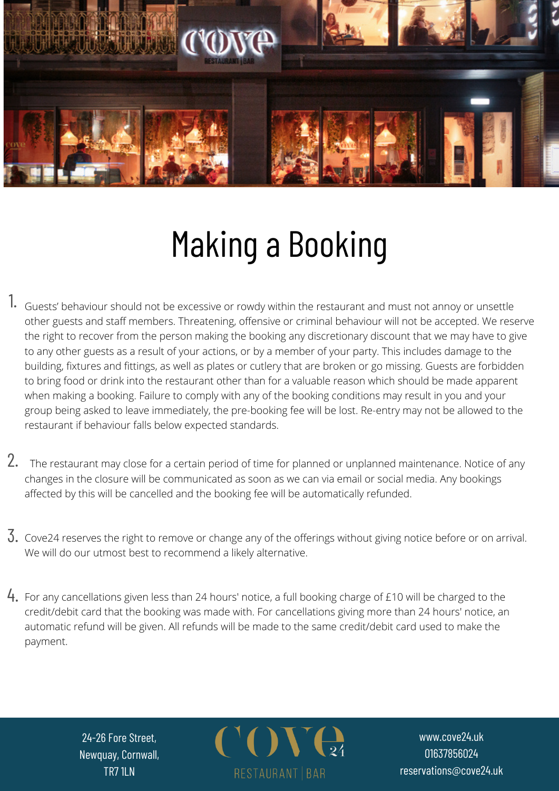

## Making a Booking

- 1. Guests' behaviour should not be excessive or rowdy within the restaurant and must not annoy or unsettle other guests and staff members. Threatening, offensive or criminal behaviour will not be accepted. We reserve the right to recover from the person making the booking any discretionary discount that we may have to give to any other guests as a result of your actions, or by a member of your party. This includes damage to the building, fixtures and fittings, as well as plates or cutlery that are broken or go missing. Guests are forbidden to bring food or drink into the restaurant other than for a valuable reason which should be made apparent when making a booking. Failure to comply with any of the booking conditions may result in you and your group being asked to leave immediately, the pre-booking fee will be lost. Re-entry may not be allowed to the restaurant if behaviour falls below expected standards.
- 2. The restaurant may close for a certain period of time for planned or unplanned maintenance. Notice of any changes in the closure will be communicated as soon as we can via email or social media. Any bookings affected by this will be cancelled and the booking fee will be automatically refunded.
- $\rm 3.$  Cove24 reserves the right to remove or change any of the offerings without giving notice before or on arrival. We will do our utmost best to recommend a likely alternative.
- $\mathsf{4}_{\pmb{\cdot}}$  For any cancellations given less than 24 hours' notice, a full booking charge of £10 will be charged to the credit/debit card that the booking was made with. For cancellations giving more than 24 hours' notice, an automatic refund will be given. All refunds will be made to the same credit/debit card used to make the payment.

24-26 Fore Street, Newquay, Cornwall, TR7 1LN



www.cove24.uk 01637856024 reservations@cove24.uk